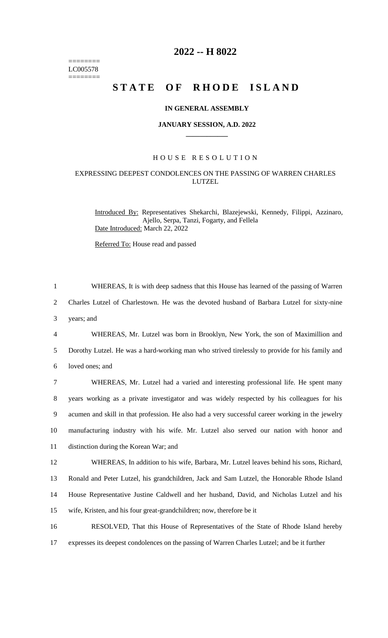======== LC005578 ========

# **2022 -- H 8022**

# STATE OF RHODE ISLAND

## **IN GENERAL ASSEMBLY**

#### **JANUARY SESSION, A.D. 2022 \_\_\_\_\_\_\_\_\_\_\_\_**

## H O U S E R E S O L U T I O N

## EXPRESSING DEEPEST CONDOLENCES ON THE PASSING OF WARREN CHARLES LUTZEL

Introduced By: Representatives Shekarchi, Blazejewski, Kennedy, Filippi, Azzinaro, Ajello, Serpa, Tanzi, Fogarty, and Fellela Date Introduced: March 22, 2022

Referred To: House read and passed

1 WHEREAS, It is with deep sadness that this House has learned of the passing of Warren 2 Charles Lutzel of Charlestown. He was the devoted husband of Barbara Lutzel for sixty-nine 3 years; and

4 WHEREAS, Mr. Lutzel was born in Brooklyn, New York, the son of Maximillion and 5 Dorothy Lutzel. He was a hard-working man who strived tirelessly to provide for his family and 6 loved ones; and

 WHEREAS, Mr. Lutzel had a varied and interesting professional life. He spent many years working as a private investigator and was widely respected by his colleagues for his acumen and skill in that profession. He also had a very successful career working in the jewelry manufacturing industry with his wife. Mr. Lutzel also served our nation with honor and distinction during the Korean War; and

 WHEREAS, In addition to his wife, Barbara, Mr. Lutzel leaves behind his sons, Richard, Ronald and Peter Lutzel, his grandchildren, Jack and Sam Lutzel, the Honorable Rhode Island House Representative Justine Caldwell and her husband, David, and Nicholas Lutzel and his wife, Kristen, and his four great-grandchildren; now, therefore be it

16 RESOLVED, That this House of Representatives of the State of Rhode Island hereby 17 expresses its deepest condolences on the passing of Warren Charles Lutzel; and be it further